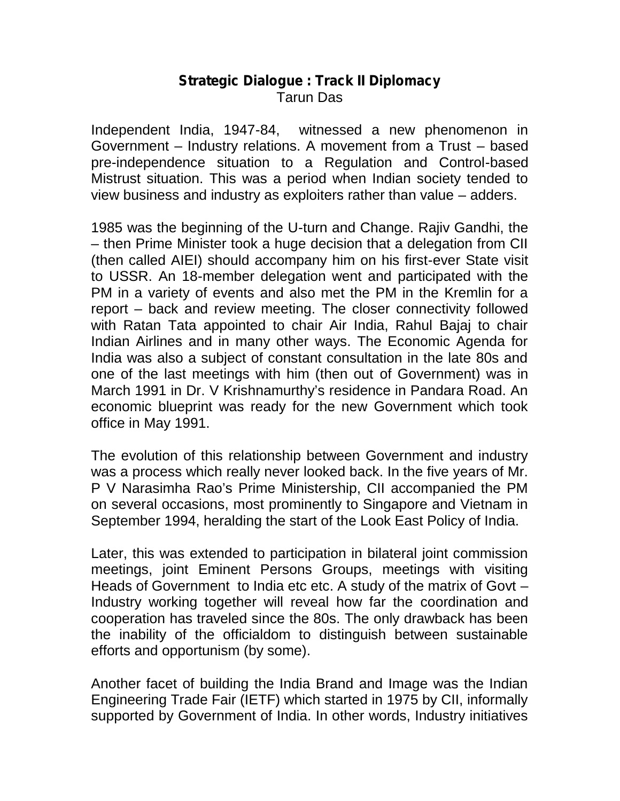## **Strategic Dialogue : Track II Diplomacy** Tarun Das

Independent India, 1947-84, witnessed a new phenomenon in Government – Industry relations. A movement from a Trust – based pre-independence situation to a Regulation and Control-based Mistrust situation. This was a period when Indian society tended to view business and industry as exploiters rather than value – adders.

1985 was the beginning of the U-turn and Change. Rajiv Gandhi, the – then Prime Minister took a huge decision that a delegation from CII (then called AIEI) should accompany him on his first-ever State visit to USSR. An 18-member delegation went and participated with the PM in a variety of events and also met the PM in the Kremlin for a report – back and review meeting. The closer connectivity followed with Ratan Tata appointed to chair Air India, Rahul Bajaj to chair Indian Airlines and in many other ways. The Economic Agenda for India was also a subject of constant consultation in the late 80s and one of the last meetings with him (then out of Government) was in March 1991 in Dr. V Krishnamurthy's residence in Pandara Road. An economic blueprint was ready for the new Government which took office in May 1991.

The evolution of this relationship between Government and industry was a process which really never looked back. In the five years of Mr. P V Narasimha Rao's Prime Ministership, CII accompanied the PM on several occasions, most prominently to Singapore and Vietnam in September 1994, heralding the start of the Look East Policy of India.

Later, this was extended to participation in bilateral joint commission meetings, joint Eminent Persons Groups, meetings with visiting Heads of Government to India etc etc. A study of the matrix of Govt -Industry working together will reveal how far the coordination and cooperation has traveled since the 80s. The only drawback has been the inability of the officialdom to distinguish between sustainable efforts and opportunism (by some).

Another facet of building the India Brand and Image was the Indian Engineering Trade Fair (IETF) which started in 1975 by CII, informally supported by Government of India. In other words, Industry initiatives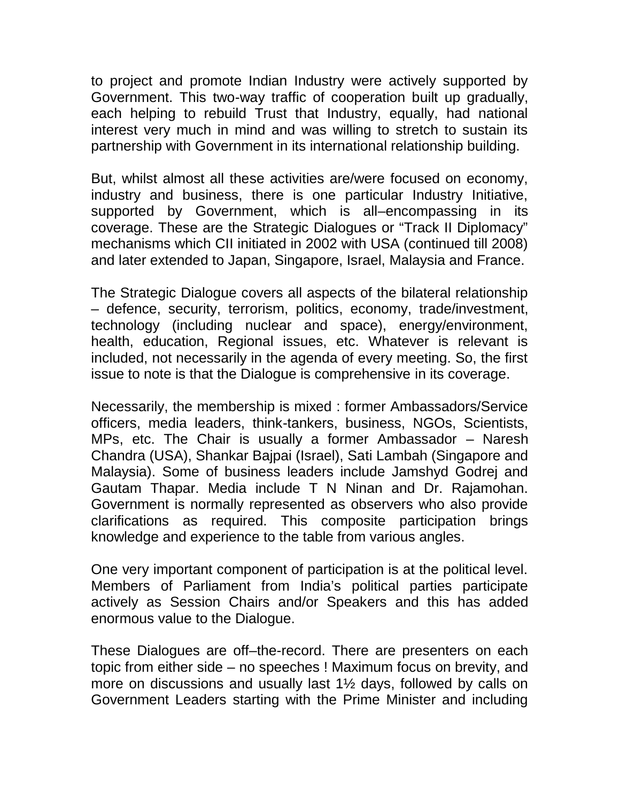to project and promote Indian Industry were actively supported by Government. This two-way traffic of cooperation built up gradually, each helping to rebuild Trust that Industry, equally, had national interest very much in mind and was willing to stretch to sustain its partnership with Government in its international relationship building.

But, whilst almost all these activities are/were focused on economy, industry and business, there is one particular Industry Initiative, supported by Government, which is all–encompassing in its coverage. These are the Strategic Dialogues or "Track II Diplomacy" mechanisms which CII initiated in 2002 with USA (continued till 2008) and later extended to Japan, Singapore, Israel, Malaysia and France.

The Strategic Dialogue covers all aspects of the bilateral relationship – defence, security, terrorism, politics, economy, trade/investment, technology (including nuclear and space), energy/environment, health, education, Regional issues, etc. Whatever is relevant is included, not necessarily in the agenda of every meeting. So, the first issue to note is that the Dialogue is comprehensive in its coverage.

Necessarily, the membership is mixed : former Ambassadors/Service officers, media leaders, think-tankers, business, NGOs, Scientists, MPs, etc. The Chair is usually a former Ambassador – Naresh Chandra (USA), Shankar Bajpai (Israel), Sati Lambah (Singapore and Malaysia). Some of business leaders include Jamshyd Godrej and Gautam Thapar. Media include T N Ninan and Dr. Rajamohan. Government is normally represented as observers who also provide clarifications as required. This composite participation brings knowledge and experience to the table from various angles.

One very important component of participation is at the political level. Members of Parliament from India's political parties participate actively as Session Chairs and/or Speakers and this has added enormous value to the Dialogue.

These Dialogues are off–the-record. There are presenters on each topic from either side – no speeches ! Maximum focus on brevity, and more on discussions and usually last 1½ days, followed by calls on Government Leaders starting with the Prime Minister and including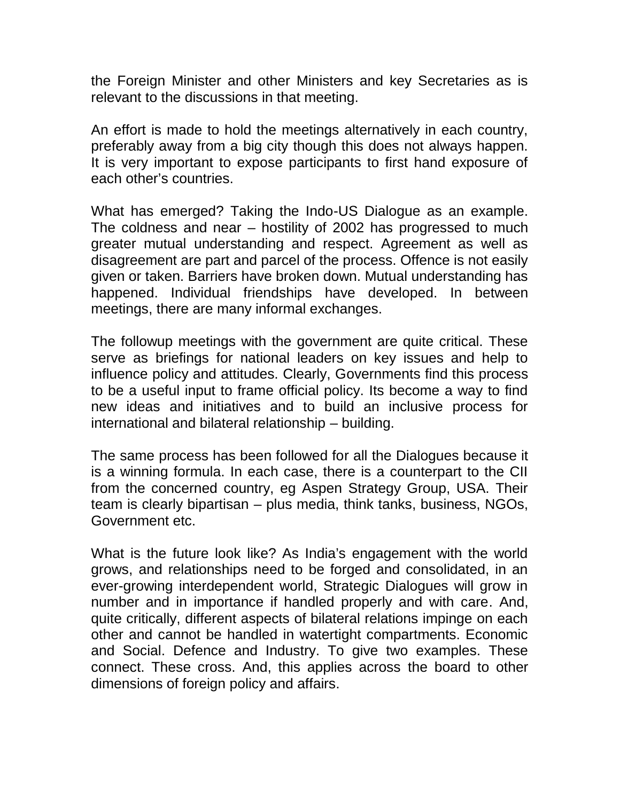the Foreign Minister and other Ministers and key Secretaries as is relevant to the discussions in that meeting.

An effort is made to hold the meetings alternatively in each country, preferably away from a big city though this does not always happen. It is very important to expose participants to first hand exposure of each other's countries.

What has emerged? Taking the Indo-US Dialogue as an example. The coldness and near – hostility of 2002 has progressed to much greater mutual understanding and respect. Agreement as well as disagreement are part and parcel of the process. Offence is not easily given or taken. Barriers have broken down. Mutual understanding has happened. Individual friendships have developed. In between meetings, there are many informal exchanges.

The followup meetings with the government are quite critical. These serve as briefings for national leaders on key issues and help to influence policy and attitudes. Clearly, Governments find this process to be a useful input to frame official policy. Its become a way to find new ideas and initiatives and to build an inclusive process for international and bilateral relationship – building.

The same process has been followed for all the Dialogues because it is a winning formula. In each case, there is a counterpart to the CII from the concerned country, eg Aspen Strategy Group, USA. Their team is clearly bipartisan – plus media, think tanks, business, NGOs, Government etc.

What is the future look like? As India's engagement with the world grows, and relationships need to be forged and consolidated, in an ever-growing interdependent world, Strategic Dialogues will grow in number and in importance if handled properly and with care. And, quite critically, different aspects of bilateral relations impinge on each other and cannot be handled in watertight compartments. Economic and Social. Defence and Industry. To give two examples. These connect. These cross. And, this applies across the board to other dimensions of foreign policy and affairs.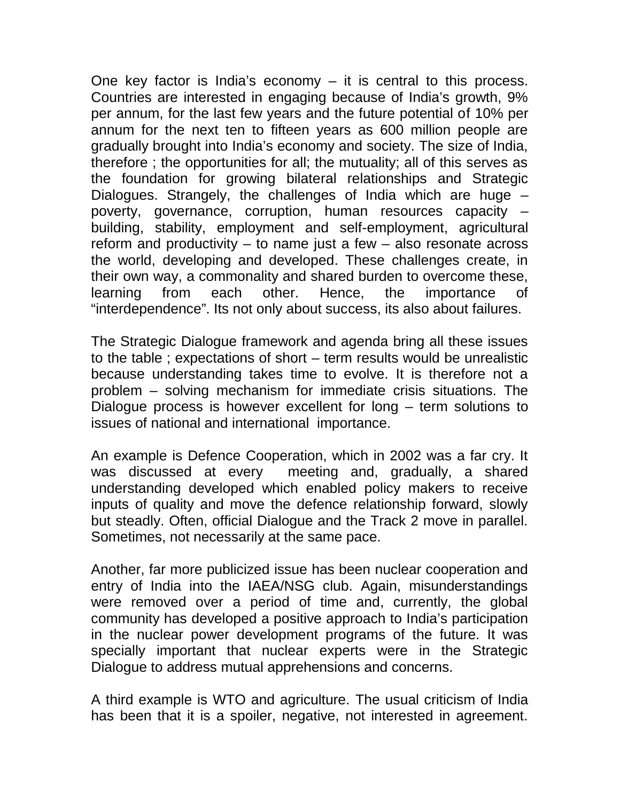One key factor is India's economy  $-$  it is central to this process. Countries are interested in engaging because of India's growth, 9% per annum, for the last few years and the future potential of 10% per annum for the next ten to fifteen years as 600 million people are gradually brought into India's economy and society. The size of India, therefore ; the opportunities for all; the mutuality; all of this serves as the foundation for growing bilateral relationships and Strategic Dialogues. Strangely, the challenges of India which are huge – poverty, governance, corruption, human resources capacity – building, stability, employment and self-employment, agricultural reform and productivity – to name just a few – also resonate across the world, developing and developed. These challenges create, in their own way, a commonality and shared burden to overcome these, learning from each other. Hence, the importance of "interdependence". Its not only about success, its also about failures.

The Strategic Dialogue framework and agenda bring all these issues to the table ; expectations of short – term results would be unrealistic because understanding takes time to evolve. It is therefore not a problem – solving mechanism for immediate crisis situations. The Dialogue process is however excellent for long – term solutions to issues of national and international importance.

An example is Defence Cooperation, which in 2002 was a far cry. It was discussed at every meeting and, gradually, a shared meeting and, gradually, a shared understanding developed which enabled policy makers to receive inputs of quality and move the defence relationship forward, slowly but steadly. Often, official Dialogue and the Track 2 move in parallel. Sometimes, not necessarily at the same pace.

Another, far more publicized issue has been nuclear cooperation and entry of India into the IAEA/NSG club. Again, misunderstandings were removed over a period of time and, currently, the global community has developed a positive approach to India's participation in the nuclear power development programs of the future. It was specially important that nuclear experts were in the Strategic Dialogue to address mutual apprehensions and concerns.

A third example is WTO and agriculture. The usual criticism of India has been that it is a spoiler, negative, not interested in agreement.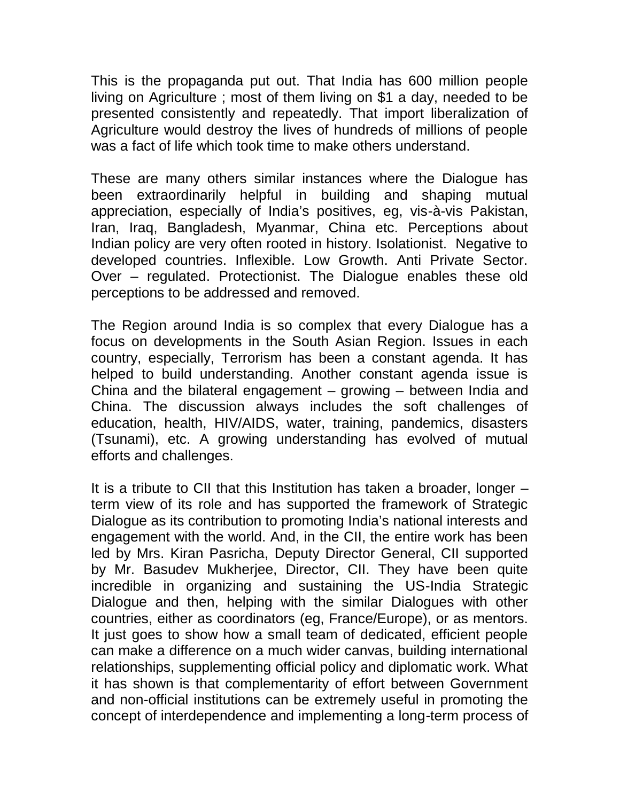This is the propaganda put out. That India has 600 million people living on Agriculture ; most of them living on \$1 a day, needed to be presented consistently and repeatedly. That import liberalization of Agriculture would destroy the lives of hundreds of millions of people was a fact of life which took time to make others understand.

These are many others similar instances where the Dialogue has been extraordinarily helpful in building and shaping mutual appreciation, especially of India's positives, eg, vis-à-vis Pakistan, Iran, Iraq, Bangladesh, Myanmar, China etc. Perceptions about Indian policy are very often rooted in history. Isolationist. Negative to developed countries. Inflexible. Low Growth. Anti Private Sector. Over – regulated. Protectionist. The Dialogue enables these old perceptions to be addressed and removed.

The Region around India is so complex that every Dialogue has a focus on developments in the South Asian Region. Issues in each country, especially, Terrorism has been a constant agenda. It has helped to build understanding. Another constant agenda issue is China and the bilateral engagement – growing – between India and China. The discussion always includes the soft challenges of education, health, HIV/AIDS, water, training, pandemics, disasters (Tsunami), etc. A growing understanding has evolved of mutual efforts and challenges.

It is a tribute to CII that this Institution has taken a broader, longer – term view of its role and has supported the framework of Strategic Dialogue as its contribution to promoting India's national interests and engagement with the world. And, in the CII, the entire work has been led by Mrs. Kiran Pasricha, Deputy Director General, CII supported by Mr. Basudev Mukherjee, Director, CII. They have been quite incredible in organizing and sustaining the US-India Strategic Dialogue and then, helping with the similar Dialogues with other countries, either as coordinators (eg, France/Europe), or as mentors. It just goes to show how a small team of dedicated, efficient people can make a difference on a much wider canvas, building international relationships, supplementing official policy and diplomatic work. What it has shown is that complementarity of effort between Government and non-official institutions can be extremely useful in promoting the concept of interdependence and implementing a long-term process of